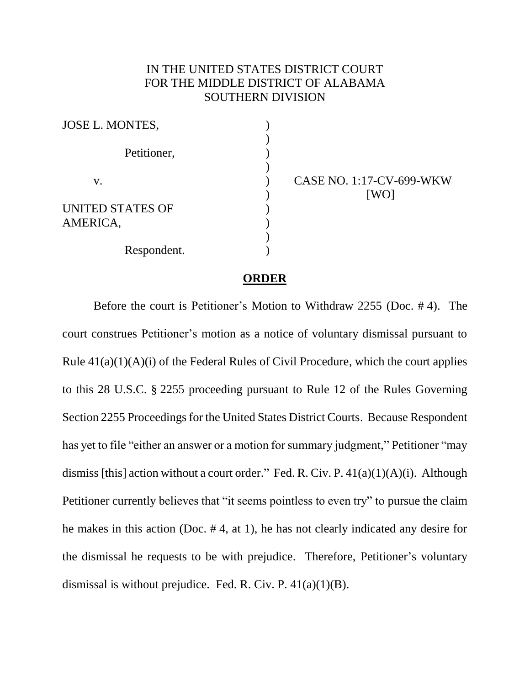## IN THE UNITED STATES DISTRICT COURT FOR THE MIDDLE DISTRICT OF ALABAMA SOUTHERN DIVISION

| JOSE L. MONTES,         |  |
|-------------------------|--|
|                         |  |
| Petitioner,             |  |
|                         |  |
| V.                      |  |
|                         |  |
| <b>UNITED STATES OF</b> |  |
| AMERICA,                |  |
|                         |  |
| Respondent.             |  |

CASE NO. 1:17-CV-699-WKW [WO]

## **ORDER**

Before the court is Petitioner's Motion to Withdraw 2255 (Doc. # 4). The court construes Petitioner's motion as a notice of voluntary dismissal pursuant to Rule  $41(a)(1)(A)(i)$  of the Federal Rules of Civil Procedure, which the court applies to this 28 U.S.C. § 2255 proceeding pursuant to Rule 12 of the Rules Governing Section 2255 Proceedings for the United States District Courts. Because Respondent has yet to file "either an answer or a motion for summary judgment," Petitioner "may dismiss [this] action without a court order." Fed. R. Civ. P.  $41(a)(1)(A)(i)$ . Although Petitioner currently believes that "it seems pointless to even try" to pursue the claim he makes in this action (Doc. # 4, at 1), he has not clearly indicated any desire for the dismissal he requests to be with prejudice. Therefore, Petitioner's voluntary dismissal is without prejudice. Fed. R. Civ. P.  $41(a)(1)(B)$ .